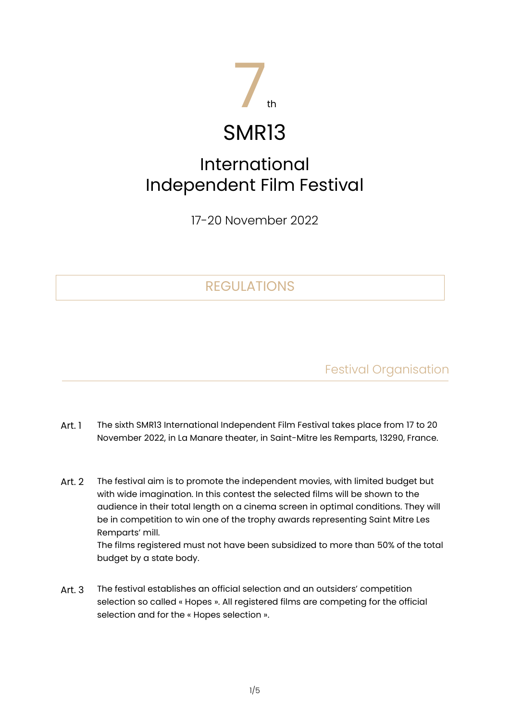

# SMR13

# International Independent Film Festival

17-20 November 2022

# REGULATIONS

Festival Organisation

- Art. 1 The sixth SMR13 International Independent Film Festival takes place from 17 to 20 November 2022, in La Manare theater, in Saint-Mitre les Remparts, 13290, France.
- Art. 2 The festival aim is to promote the independent movies, with limited budget but with wide imagination. In this contest the selected films will be shown to the audience in their total length on a cinema screen in optimal conditions. They will be in competition to win one of the trophy awards representing Saint Mitre Les Remparts' mill.

The films registered must not have been subsidized to more than 50% of the total budget by a state body.

Art. 3 The festival establishes an official selection and an outsiders' competition selection so called « Hopes ». All registered films are competing for the official selection and for the « Hopes selection ».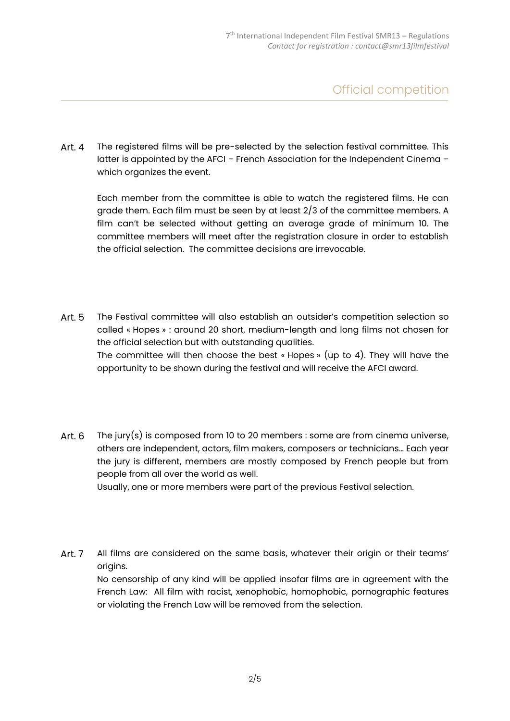### Official competition

Art. 4 The registered films will be pre-selected by the selection festival committee. This latter is appointed by the AFCI – French Association for the Independent Cinema – which organizes the event.

Each member from the committee is able to watch the registered films. He can grade them. Each film must be seen by at least 2/3 of the committee members. A film can't be selected without getting an average grade of minimum 10. The committee members will meet after the registration closure in order to establish the official selection. The committee decisions are irrevocable.

- Art. 5 The Festival committee will also establish an outsider's competition selection so called « Hopes » : around 20 short, medium-length and long films not chosen for the official selection but with outstanding qualities. The committee will then choose the best « Hopes » (up to 4). They will have the opportunity to be shown during the festival and will receive the AFCI award.
- Art. 6 The jury(s) is composed from 10 to 20 members : some are from cinema universe, others are independent, actors, film makers, composers or technicians… Each year the jury is different, members are mostly composed by French people but from people from all over the world as well. Usually, one or more members were part of the previous Festival selection.
- Art. 7 All films are considered on the same basis, whatever their origin or their teams' origins. No censorship of any kind will be applied insofar films are in agreement with the French Law: All film with racist, xenophobic, homophobic, pornographic features or violating the French Law will be removed from the selection.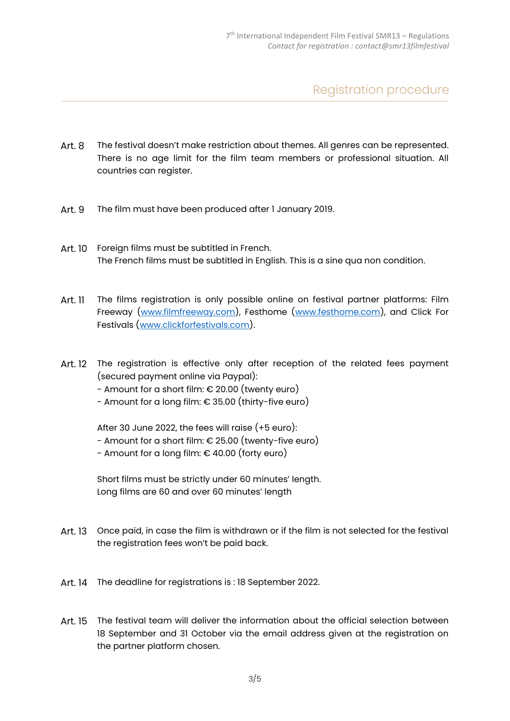Registration procedure

- Art. 8 The festival doesn't make restriction about themes. All genres can be represented. There is no age limit for the film team members or professional situation. All countries can register.
- Art. 9 The film must have been produced after 1 January 2019.
- Art. 10 Foreign films must be subtitled in French. The French films must be subtitled in English. This is a sine qua non condition.
- Art. 11 The films registration is only possible online on festival partner platforms: Film Freeway [\(www.filmfreeway.com\)](http://www.filmfreeway.com/), Festhome [\(www.festhome.com\)](http://www.festhome.com/), and Click For Festivals [\(www.clickforfestivals.com\)](http://www.clickforfestivals.com/).
- Art. 12 The registration is effective only after reception of the related fees payment (secured payment online via Paypal):
	- Amount for a short film:  $\epsilon$  20.00 (twenty euro)
	- Amount for a long film: € 35.00 (thirty-five euro)

After 30 June 2022, the fees will raise (+5 euro):

- Amount for a short film: € 25.00 (twenty-five euro)
- Amount for a long film: € 40.00 (forty euro)

Short films must be strictly under 60 minutes' length. Long films are 60 and over 60 minutes' length

- Art. 13 Once paid, in case the film is withdrawn or if the film is not selected for the festival the registration fees won't be paid back.
- Art. 14 The deadline for registrations is : 18 September 2022.
- Art. 15 The festival team will deliver the information about the official selection between 18 September and 31 October via the email address given at the registration on the partner platform chosen.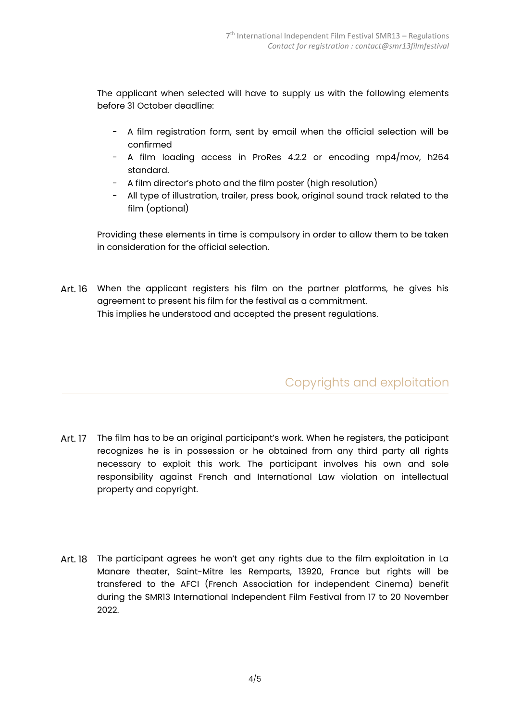The applicant when selected will have to supply us with the following elements before 31 October deadline:

- A film registration form, sent by email when the official selection will be confirmed
- A film loading access in ProRes 4.2.2 or encoding mp4/mov, h264 standard.
- A film director's photo and the film poster (high resolution)
- All type of illustration, trailer, press book, original sound track related to the film (optional)

Providing these elements in time is compulsory in order to allow them to be taken in consideration for the official selection.

Art. 16 When the applicant registers his film on the partner platforms, he gives his agreement to present his film for the festival as a commitment. This implies he understood and accepted the present regulations.

# Copyrights and exploitation

- Art. 17 The film has to be an original participant's work. When he registers, the paticipant recognizes he is in possession or he obtained from any third party all rights necessary to exploit this work. The participant involves his own and sole responsibility against French and International Law violation on intellectual property and copyright.
- Art. 18 The participant agrees he won't get any rights due to the film exploitation in La Manare theater, Saint-Mitre les Remparts, 13920, France but rights will be transfered to the AFCI (French Association for independent Cinema) benefit during the SMR13 International Independent Film Festival from 17 to 20 November 2022.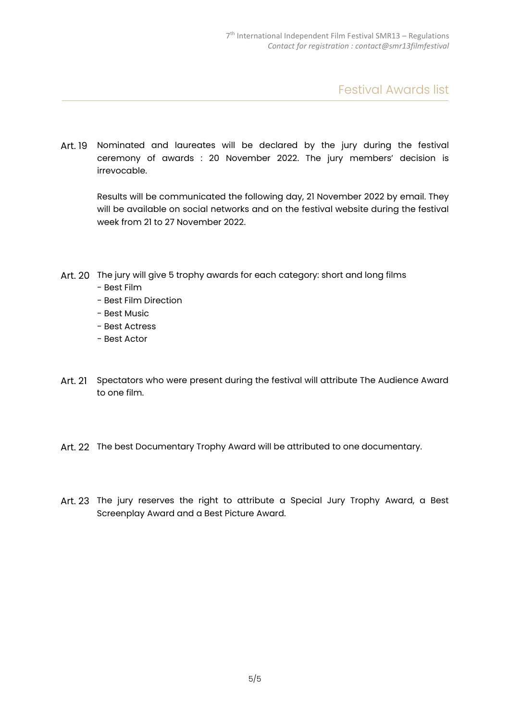Festival Awards list

Art. 19 Nominated and laureates will be declared by the jury during the festival ceremony of awards : 20 November 2022. The jury members' decision is irrevocable.

Results will be communicated the following day, 21 November 2022 by email. They will be available on social networks and on the festival website during the festival week from 21 to 27 November 2022.

- Art. 20 The jury will give 5 trophy awards for each category: short and long films
	- Best Film
	- Best Film Direction
	- Best Music
	- Best Actress
	- Best Actor
- Art. 21 Spectators who were present during the festival will attribute The Audience Award to one film.
- Art. 22 The best Documentary Trophy Award will be attributed to one documentary.
- Art. 23 The jury reserves the right to attribute a Special Jury Trophy Award, a Best Screenplay Award and a Best Picture Award.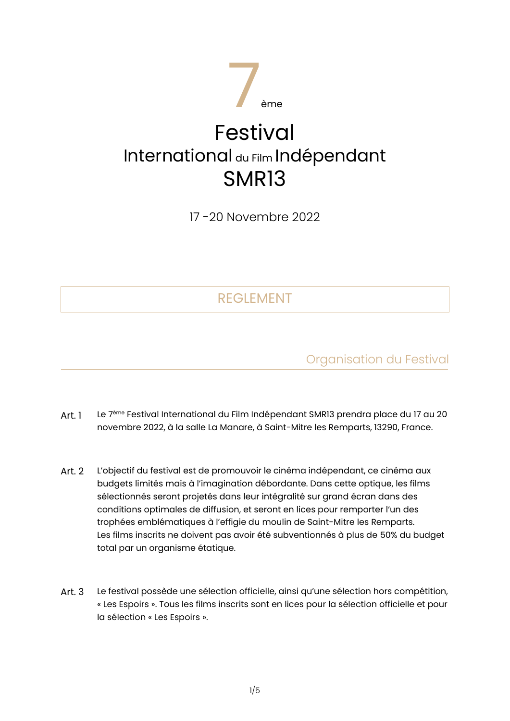

17 -20 Novembre 2022

# REGLEMENT

Organisation du Festival

- Art. 1 Le 7<sup>ème</sup> Festival International du Film Indépendant SMR13 prendra place du 17 au 20 novembre 2022, à la salle La Manare, à Saint-Mitre les Remparts, 13290, France.
- Art. 2 L'objectif du festival est de promouvoir le cinéma indépendant, ce cinéma aux budgets limités mais à l'imagination débordante. Dans cette optique, les films sélectionnés seront projetés dans leur intégralité sur grand écran dans des conditions optimales de diffusion, et seront en lices pour remporter l'un des trophées emblématiques à l'effigie du moulin de Saint-Mitre les Remparts. Les films inscrits ne doivent pas avoir été subventionnés à plus de 50% du budget total par un organisme étatique.
- Art. 3 Le festival possède une sélection officielle, ainsi qu'une sélection hors compétition, « Les Espoirs ». Tous les films inscrits sont en lices pour la sélection officielle et pour la sélection « Les Espoirs ».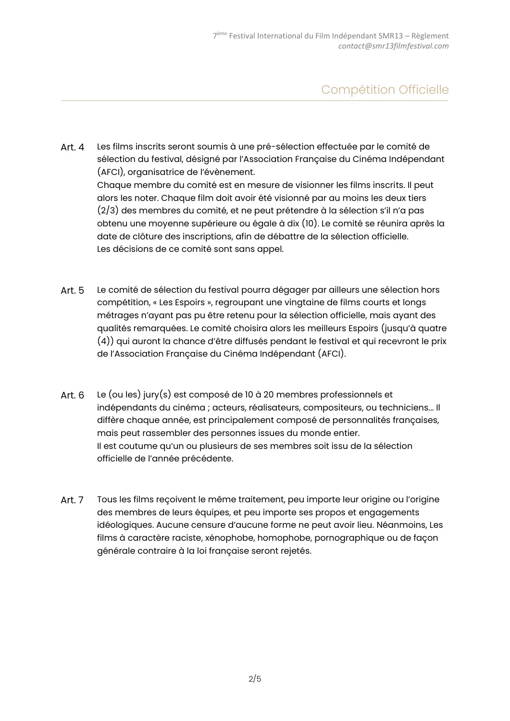# Compétition Officielle

- Art. 4 Les films inscrits seront soumis à une pré-sélection effectuée par le comité de sélection du festival, désigné par l'Association Française du Cinéma Indépendant (AFCI), organisatrice de l'évènement. Chaque membre du comité est en mesure de visionner les films inscrits. Il peut alors les noter. Chaque film doit avoir été visionné par au moins les deux tiers (2/3) des membres du comité, et ne peut prétendre à la sélection s'il n'a pas obtenu une moyenne supérieure ou égale à dix (10). Le comité se réunira après la date de clôture des inscriptions, afin de débattre de la sélection officielle. Les décisions de ce comité sont sans appel.
- Art. 5 Le comité de sélection du festival pourra dégager par ailleurs une sélection hors compétition, « Les Espoirs », regroupant une vingtaine de films courts et longs métrages n'ayant pas pu être retenu pour la sélection officielle, mais ayant des qualités remarquées. Le comité choisira alors les meilleurs Espoirs (jusqu'à quatre (4)) qui auront la chance d'être diffusés pendant le festival et qui recevront le prix de l'Association Française du Cinéma Indépendant (AFCI).
- Art. 6 Le (ou les) jury(s) est composé de 10 à 20 membres professionnels et indépendants du cinéma ; acteurs, réalisateurs, compositeurs, ou techniciens... Il diffère chaque année, est principalement composé de personnalités françaises, mais peut rassembler des personnes issues du monde entier. Il est coutume qu'un ou plusieurs de ses membres soit issu de la sélection officielle de l'année précédente.
- Art. 7 Tous les films reçoivent le même traitement, peu importe leur origine ou l'origine des membres de leurs équipes, et peu importe ses propos et engagements idéologiques. Aucune censure d'aucune forme ne peut avoir lieu. Néanmoins, Les films à caractère raciste, xénophobe, homophobe, pornographique ou de façon générale contraire à la loi française seront rejetés.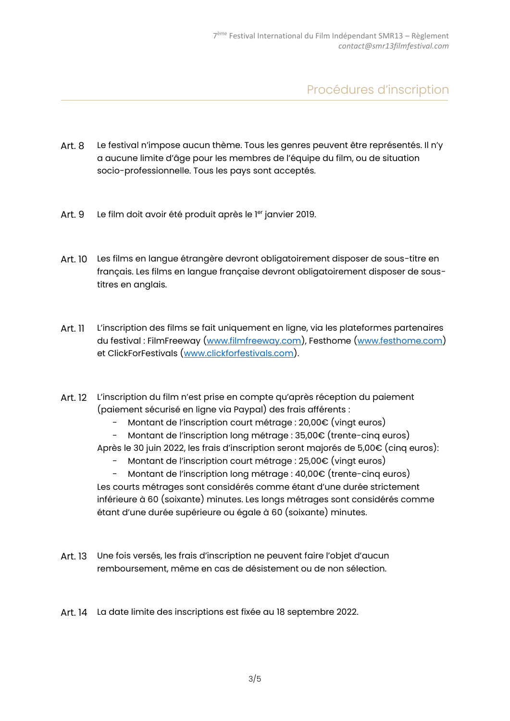Procédures d'inscription

- Art. 8 Le festival n'impose aucun thème. Tous les genres peuvent être représentés. Il n'y a aucune limite d'âge pour les membres de l'équipe du film, ou de situation socio-professionnelle. Tous les pays sont acceptés.
- Art. 9 Le film doit avoir été produit après le <sup>ler</sup> janvier 2019.
- Art. 10 Les films en langue étrangère devront obligatoirement disposer de sous-titre en français. Les films en langue française devront obligatoirement disposer de soustitres en anglais.
- Art. 11 L'inscription des films se fait uniquement en ligne, via les plateformes partenaires du festival : FilmFreeway [\(www.filmfreeway.com\)](http://www.filmfreeway.com/), Festhome [\(www.festhome.com\)](http://www.festhome.com/) et ClickForFestivals [\(www.clickforfestivals.com\)](http://www.clickforfestivals.com/).
- Art. 12 L'inscription du film n'est prise en compte qu'après réception du paiement (paiement sécurisé en ligne via Paypal) des frais afférents :
	- Montant de l'inscription court métrage : 20,00€ (vingt euros)
	- Montant de l'inscription long métrage : 35,00€ (trente-cinq euros)
	- Après le 30 juin 2022, les frais d'inscription seront majorés de 5,00€ (cinq euros):
		- Montant de l'inscription court métrage : 25,00€ (vingt euros)
	- Montant de l'inscription long métrage : 40,00€ (trente-cinq euros) Les courts métrages sont considérés comme étant d'une durée strictement inférieure à 60 (soixante) minutes. Les longs métrages sont considérés comme étant d'une durée supérieure ou égale à 60 (soixante) minutes.
- Art. 13 Une fois versés, les frais d'inscription ne peuvent faire l'objet d'aucun remboursement, même en cas de désistement ou de non sélection.
- Art. 14 La date limite des inscriptions est fixée au 18 septembre 2022.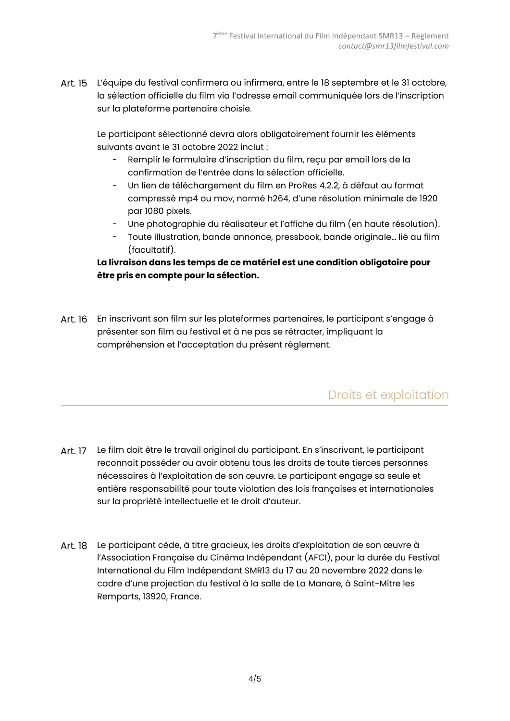Art. 15 L'équipe du festival confirmera ou infirmera, entre le 18 septembre et le 31 octobre, la sélection officielle du film via l'adresse email communiquée lors de l'inscription sur la plateforme partenaire choisie.

Le participant sélectionné devra alors obligatoirement fournir les éléments suivants avant le 31 octobre 2022 inclut :

- Remplir le formulaire d'inscription du film, reçu par email lors de la confirmation de l'entrée dans la sélection officielle.
- Un lien de téléchargement du film en ProRes 4.2.2, à défaut au format compressé mp4 ou mov, normé h264, d'une résolution minimale de 1920 par 1080 pixels.
- Une photographie du réalisateur et l'affiche du film (en haute résolution).
- Toute illustration, bande annonce, pressbook, bande originale... lié au film (facultatif).

#### **La livraison dans les temps de ce matériel est une condition obligatoire pour être pris en compte pour la sélection.**

Art. 16 En inscrivant son film sur les plateformes partenaires, le participant s'engage à présenter son film au festival et à ne pas se rétracter, impliquant la compréhension et l'acceptation du présent règlement.

#### Droits et exploitation

- Art. 17 Le film doit être le travail original du participant. En s'inscrivant, le participant reconnait posséder ou avoir obtenu tous les droits de toute tierces personnes nécessaires à l'exploitation de son œuvre. Le participant engage sa seule et entière responsabilité pour toute violation des lois françaises et internationales sur la propriété intellectuelle et le droit d'auteur.
- Art. 18 Le participant cède, à titre gracieux, les droits d'exploitation de son œuvre à l'Association Française du Cinéma Indépendant (AFCI), pour la durée du Festival International du Film Indépendant SMR13 du 17 au 20 novembre 2022 dans le cadre d'une projection du festival à la salle de La Manare, à Saint-Mitre les Remparts, 13920, France.